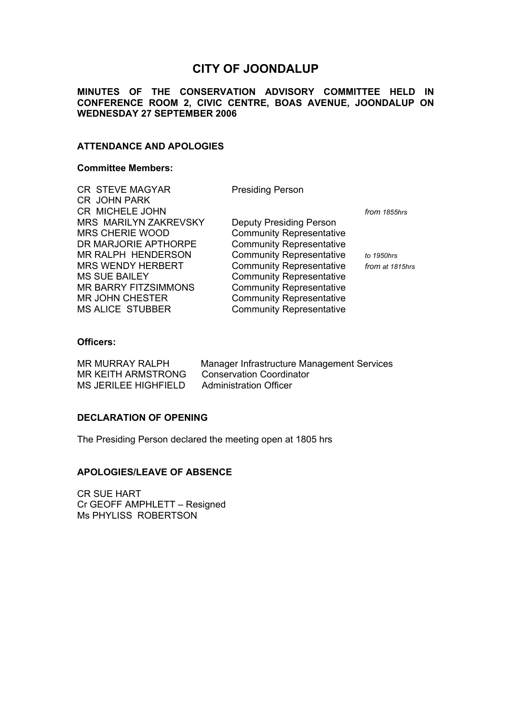# **CITY OF JOONDALUP**

## **MINUTES OF THE CONSERVATION ADVISORY COMMITTEE HELD IN CONFERENCE ROOM 2, CIVIC CENTRE, BOAS AVENUE, JOONDALUP ON WEDNESDAY 27 SEPTEMBER 2006**

## **ATTENDANCE AND APOLOGIES**

#### **Committee Members:**

CR STEVE MAGYAR Presiding Person CR JOHN PARK CR MICHELE JOHN *from 1855hrs* MRS MARILYN ZAKREVSKY Deputy Presiding Person MRS CHERIE WOOD Community Representative DR MARJORIE APTHORPE Community Representative MR RALPH HENDERSON Community Representative *to 1950hrs*  MRS WENDY HERBERT Community Representative *from at 1815hrs* MS SUE BAILEY Community Representative MR BARRY FITZSIMMONS Community Representative MR JOHN CHESTER Community Representative MS ALICE STUBBER Community Representative

## **Officers:**

MR KEITH ARMSTRONG Conservation Coordinator MS JERILEE HIGHFIELD Administration Officer

MR MURRAY RALPH Manager Infrastructure Management Services

## **DECLARATION OF OPENING**

The Presiding Person declared the meeting open at 1805 hrs

## **APOLOGIES/LEAVE OF ABSENCE**

CR SUE HART Cr GEOFF AMPHLETT – Resigned Ms PHYLISS ROBERTSON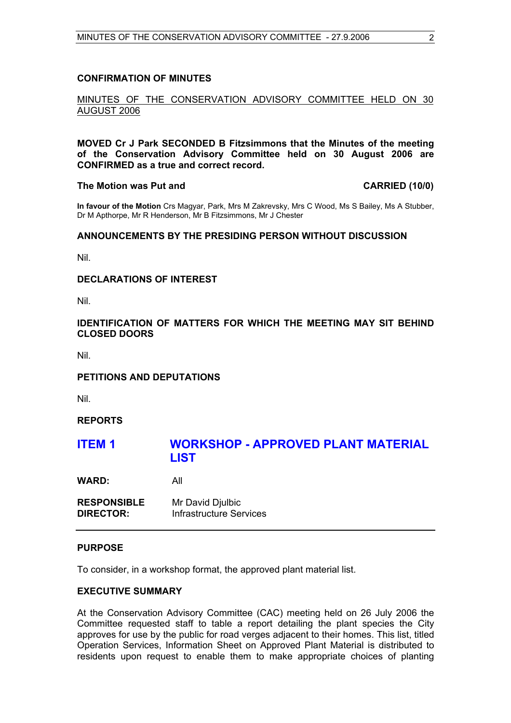## **CONFIRMATION OF MINUTES**

## MINUTES OF THE CONSERVATION ADVISORY COMMITTEE HELD ON 30 AUGUST 2006

**MOVED Cr J Park SECONDED B Fitzsimmons that the Minutes of the meeting of the Conservation Advisory Committee held on 30 August 2006 are CONFIRMED as a true and correct record.** 

#### **The Motion was Put and CARRIED (10/0)**

**In favour of the Motion** Crs Magyar, Park, Mrs M Zakrevsky, Mrs C Wood, Ms S Bailey, Ms A Stubber, Dr M Apthorpe, Mr R Henderson, Mr B Fitzsimmons, Mr J Chester

## **ANNOUNCEMENTS BY THE PRESIDING PERSON WITHOUT DISCUSSION**

Nil.

## **DECLARATIONS OF INTEREST**

Nil.

## **IDENTIFICATION OF MATTERS FOR WHICH THE MEETING MAY SIT BEHIND CLOSED DOORS**

Nil.

## **PETITIONS AND DEPUTATIONS**

Nil.

## **REPORTS**

## **ITEM 1 WORKSHOP - APPROVED PLANT MATERIAL LIST**

**WARD:** All

**RESPONSIBLE** Mr David Djulbic **DIRECTOR:** Infrastructure Services

## **PURPOSE**

To consider, in a workshop format, the approved plant material list.

## **EXECUTIVE SUMMARY**

At the Conservation Advisory Committee (CAC) meeting held on 26 July 2006 the Committee requested staff to table a report detailing the plant species the City approves for use by the public for road verges adjacent to their homes. This list, titled Operation Services, Information Sheet on Approved Plant Material is distributed to residents upon request to enable them to make appropriate choices of planting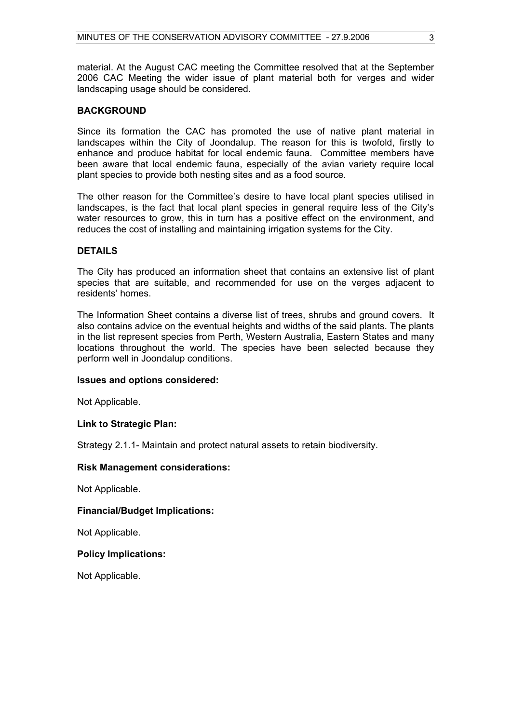material. At the August CAC meeting the Committee resolved that at the September 2006 CAC Meeting the wider issue of plant material both for verges and wider landscaping usage should be considered.

## **BACKGROUND**

Since its formation the CAC has promoted the use of native plant material in landscapes within the City of Joondalup. The reason for this is twofold, firstly to enhance and produce habitat for local endemic fauna. Committee members have been aware that local endemic fauna, especially of the avian variety require local plant species to provide both nesting sites and as a food source.

The other reason for the Committee's desire to have local plant species utilised in landscapes, is the fact that local plant species in general require less of the City's water resources to grow, this in turn has a positive effect on the environment, and reduces the cost of installing and maintaining irrigation systems for the City.

## **DETAILS**

The City has produced an information sheet that contains an extensive list of plant species that are suitable, and recommended for use on the verges adjacent to residents' homes.

The Information Sheet contains a diverse list of trees, shrubs and ground covers. It also contains advice on the eventual heights and widths of the said plants. The plants in the list represent species from Perth, Western Australia, Eastern States and many locations throughout the world. The species have been selected because they perform well in Joondalup conditions.

## **Issues and options considered:**

Not Applicable.

## **Link to Strategic Plan:**

Strategy 2.1.1- Maintain and protect natural assets to retain biodiversity.

## **Risk Management considerations:**

Not Applicable.

## **Financial/Budget Implications:**

Not Applicable.

## **Policy Implications:**

Not Applicable.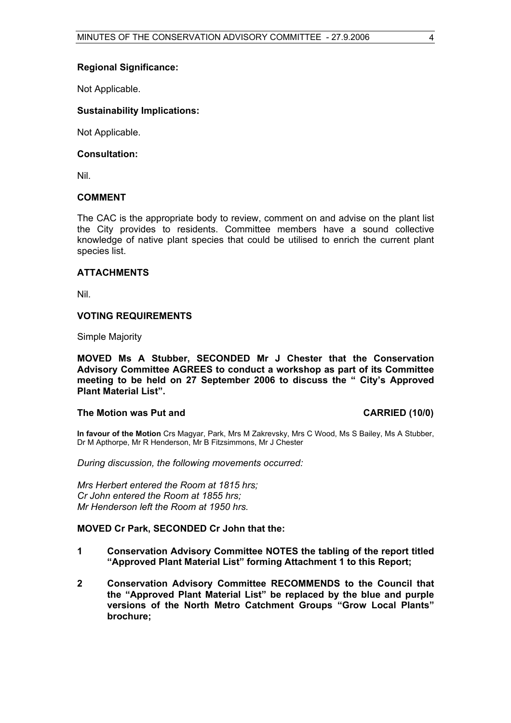## **Regional Significance:**

Not Applicable.

## **Sustainability Implications:**

Not Applicable.

## **Consultation:**

Nil.

## **COMMENT**

The CAC is the appropriate body to review, comment on and advise on the plant list the City provides to residents. Committee members have a sound collective knowledge of native plant species that could be utilised to enrich the current plant species list.

## **ATTACHMENTS**

Nil.

## **VOTING REQUIREMENTS**

Simple Majority

**MOVED Ms A Stubber, SECONDED Mr J Chester that the Conservation Advisory Committee AGREES to conduct a workshop as part of its Committee meeting to be held on 27 September 2006 to discuss the " City's Approved Plant Material List".** 

## The Motion was Put and **CARRIED** (10/0)

**In favour of the Motion** Crs Magyar, Park, Mrs M Zakrevsky, Mrs C Wood, Ms S Bailey, Ms A Stubber, Dr M Apthorpe, Mr R Henderson, Mr B Fitzsimmons, Mr J Chester

*During discussion, the following movements occurred:* 

*Mrs Herbert entered the Room at 1815 hrs; Cr John entered the Room at 1855 hrs; Mr Henderson left the Room at 1950 hrs.* 

## **MOVED Cr Park, SECONDED Cr John that the:**

- **1 Conservation Advisory Committee NOTES the tabling of the report titled "Approved Plant Material List" forming Attachment 1 to this Report;**
- **2 Conservation Advisory Committee RECOMMENDS to the Council that the "Approved Plant Material List" be replaced by the blue and purple versions of the North Metro Catchment Groups "Grow Local Plants" brochure;**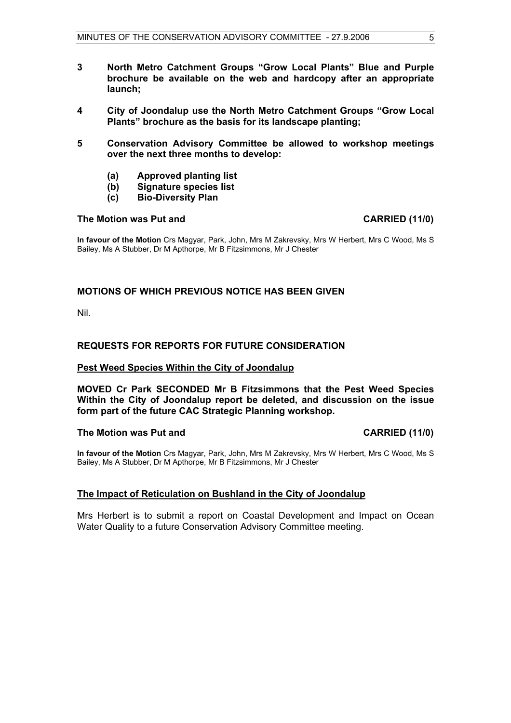- **3 North Metro Catchment Groups "Grow Local Plants" Blue and Purple brochure be available on the web and hardcopy after an appropriate launch;**
- **4 City of Joondalup use the North Metro Catchment Groups "Grow Local Plants" brochure as the basis for its landscape planting;**
- **5 Conservation Advisory Committee be allowed to workshop meetings over the next three months to develop:** 
	- **(a) Approved planting list**
	- **(b) Signature species list**
	- **(c) Bio-Diversity Plan**

#### **The Motion was Put and CARRIED (11/0)**

**In favour of the Motion** Crs Magyar, Park, John, Mrs M Zakrevsky, Mrs W Herbert, Mrs C Wood, Ms S Bailey, Ms A Stubber, Dr M Apthorpe, Mr B Fitzsimmons, Mr J Chester

## **MOTIONS OF WHICH PREVIOUS NOTICE HAS BEEN GIVEN**

Nil.

## **REQUESTS FOR REPORTS FOR FUTURE CONSIDERATION**

#### **Pest Weed Species Within the City of Joondalup**

**MOVED Cr Park SECONDED Mr B Fitzsimmons that the Pest Weed Species Within the City of Joondalup report be deleted, and discussion on the issue form part of the future CAC Strategic Planning workshop.** 

## The Motion was Put and **CARRIED** (11/0)

**In favour of the Motion** Crs Magyar, Park, John, Mrs M Zakrevsky, Mrs W Herbert, Mrs C Wood, Ms S Bailey, Ms A Stubber, Dr M Apthorpe, Mr B Fitzsimmons, Mr J Chester

## **The Impact of Reticulation on Bushland in the City of Joondalup**

Mrs Herbert is to submit a report on Coastal Development and Impact on Ocean Water Quality to a future Conservation Advisory Committee meeting.